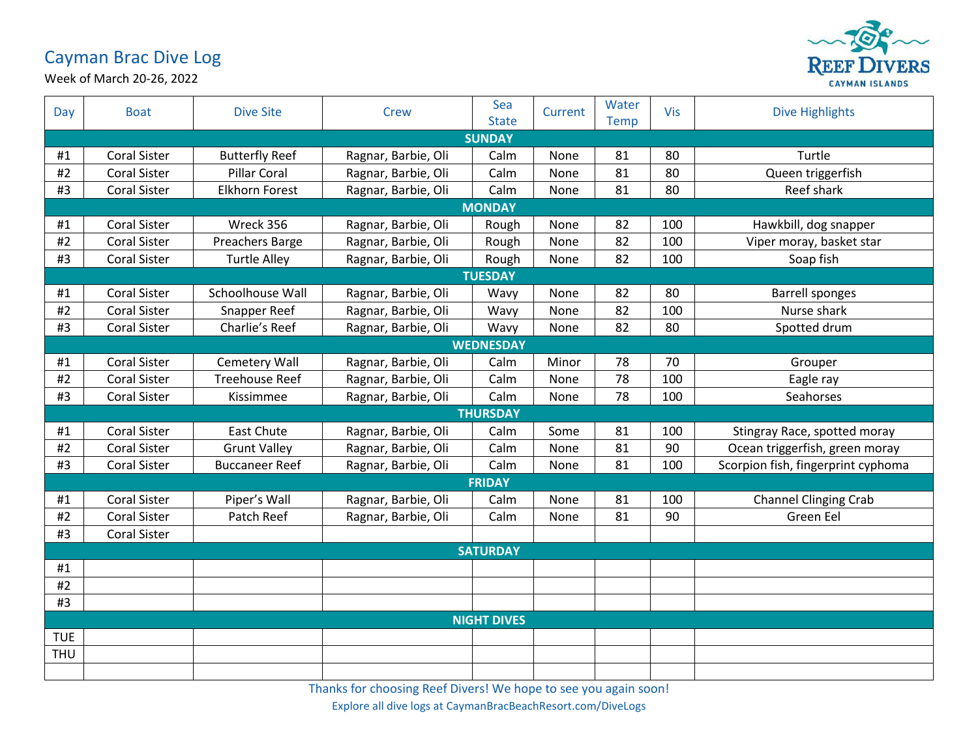## Cayman Brac Dive Log



Week of March 20-26, 2022

| Day                | <b>Boat</b>         | <b>Dive Site</b>      | <b>Crew</b>         | Sea<br><b>State</b> | Current | Water<br><b>Temp</b> | <b>Vis</b> | <b>Dive Highlights</b>             |  |  |
|--------------------|---------------------|-----------------------|---------------------|---------------------|---------|----------------------|------------|------------------------------------|--|--|
| <b>SUNDAY</b>      |                     |                       |                     |                     |         |                      |            |                                    |  |  |
| #1                 | <b>Coral Sister</b> | <b>Butterfly Reef</b> | Ragnar, Barbie, Oli | Calm                | None    | 81                   | 80         | Turtle                             |  |  |
| #2                 | <b>Coral Sister</b> | <b>Pillar Coral</b>   | Ragnar, Barbie, Oli | Calm                | None    | 81                   | 80         | Queen triggerfish                  |  |  |
| #3                 | <b>Coral Sister</b> | <b>Elkhorn Forest</b> | Ragnar, Barbie, Oli | Calm                | None    | 81                   | 80         | Reef shark                         |  |  |
|                    | <b>MONDAY</b>       |                       |                     |                     |         |                      |            |                                    |  |  |
| #1                 | <b>Coral Sister</b> | Wreck 356             | Ragnar, Barbie, Oli | Rough               | None    | 82                   | 100        | Hawkbill, dog snapper              |  |  |
| #2                 | <b>Coral Sister</b> | Preachers Barge       | Ragnar, Barbie, Oli | Rough               | None    | 82                   | 100        | Viper moray, basket star           |  |  |
| #3                 | <b>Coral Sister</b> | <b>Turtle Alley</b>   | Ragnar, Barbie, Oli | Rough               | None    | 82                   | 100        | Soap fish                          |  |  |
|                    | <b>TUESDAY</b>      |                       |                     |                     |         |                      |            |                                    |  |  |
| #1                 | <b>Coral Sister</b> | Schoolhouse Wall      | Ragnar, Barbie, Oli | Wavy                | None    | 82                   | 80         | <b>Barrell sponges</b>             |  |  |
| #2                 | <b>Coral Sister</b> | Snapper Reef          | Ragnar, Barbie, Oli | Wavy                | None    | 82                   | 100        | Nurse shark                        |  |  |
| #3                 | <b>Coral Sister</b> | Charlie's Reef        | Ragnar, Barbie, Oli | Wavy                | None    | 82                   | 80         | Spotted drum                       |  |  |
|                    |                     |                       |                     | <b>WEDNESDAY</b>    |         |                      |            |                                    |  |  |
| #1                 | <b>Coral Sister</b> | <b>Cemetery Wall</b>  | Ragnar, Barbie, Oli | Calm                | Minor   | 78                   | 70         | Grouper                            |  |  |
| #2                 | <b>Coral Sister</b> | <b>Treehouse Reef</b> | Ragnar, Barbie, Oli | Calm                | None    | 78                   | 100        | Eagle ray                          |  |  |
| #3                 | <b>Coral Sister</b> | Kissimmee             | Ragnar, Barbie, Oli | Calm                | None    | 78                   | 100        | Seahorses                          |  |  |
|                    |                     |                       |                     | <b>THURSDAY</b>     |         |                      |            |                                    |  |  |
| #1                 | Coral Sister        | <b>East Chute</b>     | Ragnar, Barbie, Oli | Calm                | Some    | 81                   | 100        | Stingray Race, spotted moray       |  |  |
| #2                 | <b>Coral Sister</b> | <b>Grunt Valley</b>   | Ragnar, Barbie, Oli | Calm                | None    | 81                   | 90         | Ocean triggerfish, green moray     |  |  |
| #3                 | <b>Coral Sister</b> | <b>Buccaneer Reef</b> | Ragnar, Barbie, Oli | Calm                | None    | 81                   | 100        | Scorpion fish, fingerprint cyphoma |  |  |
|                    | <b>FRIDAY</b>       |                       |                     |                     |         |                      |            |                                    |  |  |
| #1                 | <b>Coral Sister</b> | Piper's Wall          | Ragnar, Barbie, Oli | Calm                | None    | 81                   | 100        | <b>Channel Clinging Crab</b>       |  |  |
| #2                 | <b>Coral Sister</b> | Patch Reef            | Ragnar, Barbie, Oli | Calm                | None    | 81                   | 90         | Green Eel                          |  |  |
| #3                 | <b>Coral Sister</b> |                       |                     |                     |         |                      |            |                                    |  |  |
| <b>SATURDAY</b>    |                     |                       |                     |                     |         |                      |            |                                    |  |  |
| #1                 |                     |                       |                     |                     |         |                      |            |                                    |  |  |
| #2                 |                     |                       |                     |                     |         |                      |            |                                    |  |  |
| #3                 |                     |                       |                     |                     |         |                      |            |                                    |  |  |
| <b>NIGHT DIVES</b> |                     |                       |                     |                     |         |                      |            |                                    |  |  |
| <b>TUE</b>         |                     |                       |                     |                     |         |                      |            |                                    |  |  |
| <b>THU</b>         |                     |                       |                     |                     |         |                      |            |                                    |  |  |
|                    |                     |                       |                     |                     |         |                      |            |                                    |  |  |

Thanks for choosing Reef Divers! We hope to see you again soon!

Explore all dive logs at CaymanBracBeachResort.com/DiveLogs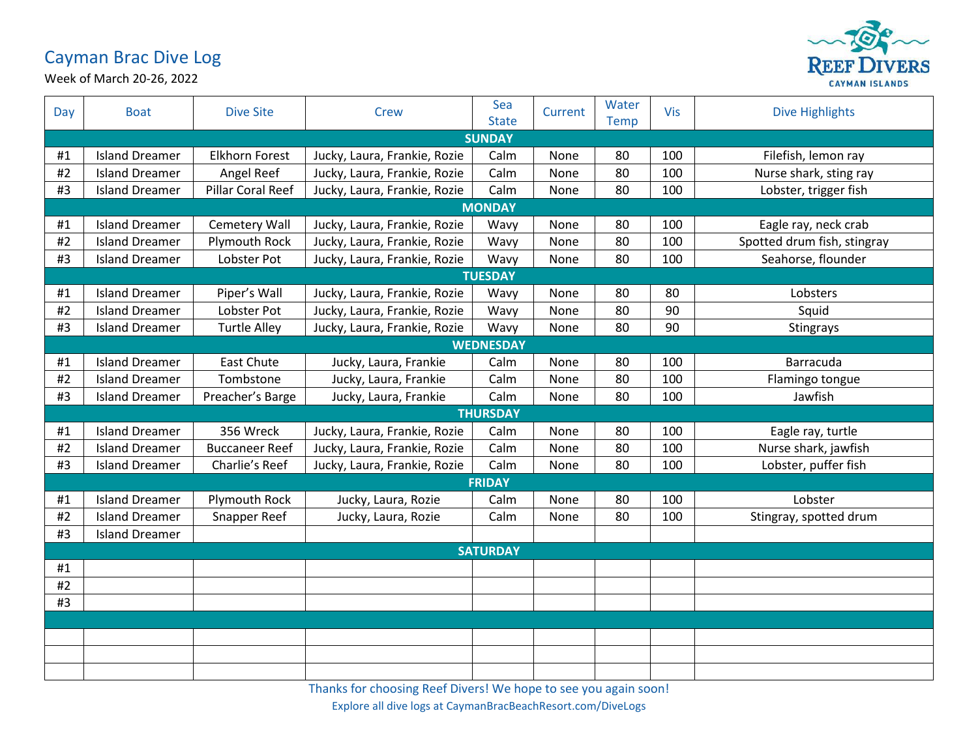## Cayman Brac Dive Log



Week of March 20-26, 2022

| Day | <b>Boat</b>           | <b>Dive Site</b>      | Crew                         | Sea<br><b>State</b> | Current | Water<br><b>Temp</b> | Vis | <b>Dive Highlights</b>      |  |  |
|-----|-----------------------|-----------------------|------------------------------|---------------------|---------|----------------------|-----|-----------------------------|--|--|
|     | <b>SUNDAY</b>         |                       |                              |                     |         |                      |     |                             |  |  |
| #1  | <b>Island Dreamer</b> | <b>Elkhorn Forest</b> | Jucky, Laura, Frankie, Rozie | Calm                | None    | 80                   | 100 | Filefish, lemon ray         |  |  |
| #2  | <b>Island Dreamer</b> | Angel Reef            | Jucky, Laura, Frankie, Rozie | Calm                | None    | 80                   | 100 | Nurse shark, sting ray      |  |  |
| #3  | <b>Island Dreamer</b> | Pillar Coral Reef     | Jucky, Laura, Frankie, Rozie | Calm                | None    | 80                   | 100 | Lobster, trigger fish       |  |  |
|     | <b>MONDAY</b>         |                       |                              |                     |         |                      |     |                             |  |  |
| #1  | <b>Island Dreamer</b> | <b>Cemetery Wall</b>  | Jucky, Laura, Frankie, Rozie | Wavy                | None    | 80                   | 100 | Eagle ray, neck crab        |  |  |
| #2  | <b>Island Dreamer</b> | <b>Plymouth Rock</b>  | Jucky, Laura, Frankie, Rozie | Wavy                | None    | 80                   | 100 | Spotted drum fish, stingray |  |  |
| #3  | <b>Island Dreamer</b> | Lobster Pot           | Jucky, Laura, Frankie, Rozie | Wavy                | None    | 80                   | 100 | Seahorse, flounder          |  |  |
|     |                       |                       |                              | <b>TUESDAY</b>      |         |                      |     |                             |  |  |
| #1  | <b>Island Dreamer</b> | Piper's Wall          | Jucky, Laura, Frankie, Rozie | Wavy                | None    | 80                   | 80  | Lobsters                    |  |  |
| #2  | <b>Island Dreamer</b> | Lobster Pot           | Jucky, Laura, Frankie, Rozie | Wavy                | None    | 80                   | 90  | Squid                       |  |  |
| #3  | <b>Island Dreamer</b> | <b>Turtle Alley</b>   | Jucky, Laura, Frankie, Rozie | Wavy                | None    | 80                   | 90  | Stingrays                   |  |  |
|     |                       |                       |                              | <b>WEDNESDAY</b>    |         |                      |     |                             |  |  |
| #1  | <b>Island Dreamer</b> | <b>East Chute</b>     | Jucky, Laura, Frankie        | Calm                | None    | 80                   | 100 | Barracuda                   |  |  |
| #2  | <b>Island Dreamer</b> | Tombstone             | Jucky, Laura, Frankie        | Calm                | None    | 80                   | 100 | Flamingo tongue             |  |  |
| #3  | <b>Island Dreamer</b> | Preacher's Barge      | Jucky, Laura, Frankie        | Calm                | None    | 80                   | 100 | Jawfish                     |  |  |
|     |                       |                       |                              | <b>THURSDAY</b>     |         |                      |     |                             |  |  |
| #1  | <b>Island Dreamer</b> | 356 Wreck             | Jucky, Laura, Frankie, Rozie | Calm                | None    | 80                   | 100 | Eagle ray, turtle           |  |  |
| #2  | <b>Island Dreamer</b> | <b>Buccaneer Reef</b> | Jucky, Laura, Frankie, Rozie | Calm                | None    | 80                   | 100 | Nurse shark, jawfish        |  |  |
| #3  | <b>Island Dreamer</b> | Charlie's Reef        | Jucky, Laura, Frankie, Rozie | Calm                | None    | 80                   | 100 | Lobster, puffer fish        |  |  |
|     | <b>FRIDAY</b>         |                       |                              |                     |         |                      |     |                             |  |  |
| #1  | <b>Island Dreamer</b> | Plymouth Rock         | Jucky, Laura, Rozie          | Calm                | None    | 80                   | 100 | Lobster                     |  |  |
| #2  | <b>Island Dreamer</b> | Snapper Reef          | Jucky, Laura, Rozie          | Calm                | None    | 80                   | 100 | Stingray, spotted drum      |  |  |
| #3  | <b>Island Dreamer</b> |                       |                              |                     |         |                      |     |                             |  |  |
|     | <b>SATURDAY</b>       |                       |                              |                     |         |                      |     |                             |  |  |
| #1  |                       |                       |                              |                     |         |                      |     |                             |  |  |
| #2  |                       |                       |                              |                     |         |                      |     |                             |  |  |
| #3  |                       |                       |                              |                     |         |                      |     |                             |  |  |
|     |                       |                       |                              |                     |         |                      |     |                             |  |  |
|     |                       |                       |                              |                     |         |                      |     |                             |  |  |
|     |                       |                       |                              |                     |         |                      |     |                             |  |  |
|     |                       |                       |                              |                     |         |                      |     |                             |  |  |

Thanks for choosing Reef Divers! We hope to see you again soon!

Explore all dive logs at CaymanBracBeachResort.com/DiveLogs